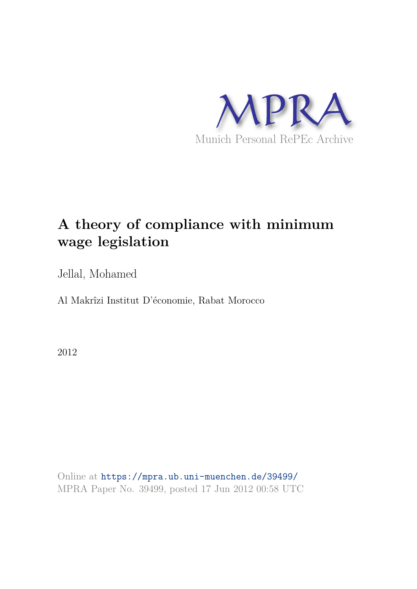

# **A theory of compliance with minimum wage legislation**

Jellal, Mohamed

Al Makrîzi Institut D'économie, Rabat Morocco

2012

Online at https://mpra.ub.uni-muenchen.de/39499/ MPRA Paper No. 39499, posted 17 Jun 2012 00:58 UTC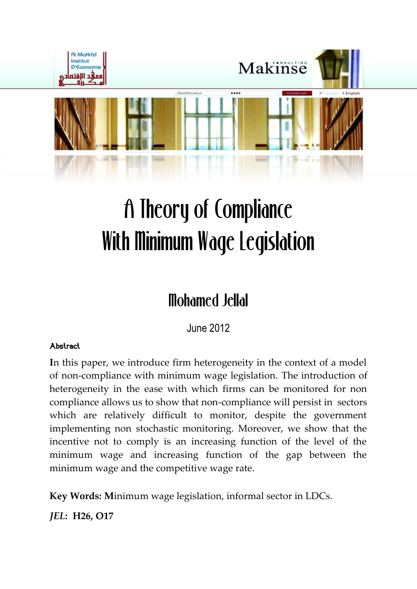

# A Theory of Compliance With Minimum Wage Legislation

# Mohamed Jellal

June 2012

# Abstract

**I**n this paper, we introduce firm heterogeneity in the context of a model of non-compliance with minimum wage legislation. The introduction of heterogeneity in the ease with which firms can be monitored for non compliance allows us to show that non-compliance will persist in sectors which are relatively difficult to monitor, despite the government implementing non stochastic monitoring. Moreover, we show that the incentive not to comply is an increasing function of the level of the minimum wage and increasing function of the gap between the minimum wage and the competitive wage rate.

**Key Words: M**inimum wage legislation, informal sector in LDCs.

*JEL***: H26, O17**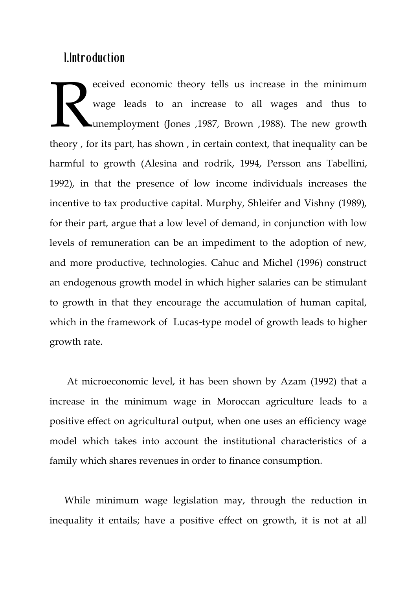# 1.Introduction

eceived economic theory tells us increase in the minimum wage leads to an increase to all wages and thus to unemployment (Jones ,1987, Brown ,1988). The new growth theory , for its part, has shown , in certain context, that inequality can be harmful to growth (Alesina and rodrik, 1994, Persson ans Tabellini, 1992), in that the presence of low income individuals increases the incentive to tax productive capital. Murphy, Shleifer and Vishny (1989), for their part, argue that a low level of demand, in conjunction with low levels of remuneration can be an impediment to the adoption of new, and more productive, technologies. Cahuc and Michel (1996) construct an endogenous growth model in which higher salaries can be stimulant to growth in that they encourage the accumulation of human capital, which in the framework of Lucas-type model of growth leads to higher growth rate. Example 11

 At microeconomic level, it has been shown by Azam (1992) that a increase in the minimum wage in Moroccan agriculture leads to a positive effect on agricultural output, when one uses an efficiency wage model which takes into account the institutional characteristics of a family which shares revenues in order to finance consumption.

 While minimum wage legislation may, through the reduction in inequality it entails; have a positive effect on growth, it is not at all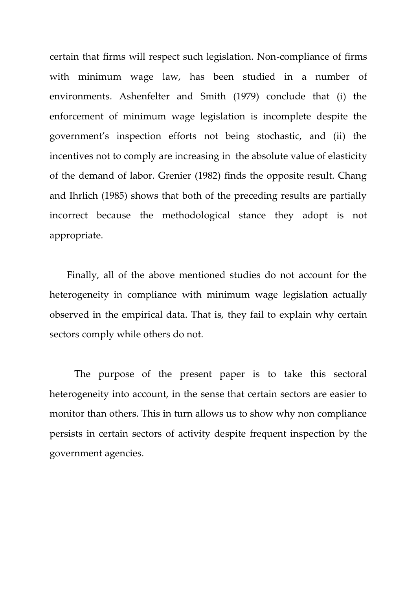certain that firms will respect such legislation. Non-compliance of firms with minimum wage law, has been studied in a number of environments. Ashenfelter and Smith (1979) conclude that (i) the enforcement of minimum wage legislation is incomplete despite the government's inspection efforts not being stochastic, and (ii) the incentives not to comply are increasing in the absolute value of elasticity of the demand of labor. Grenier (1982) finds the opposite result. Chang and Ihrlich (1985) shows that both of the preceding results are partially incorrect because the methodological stance they adopt is not appropriate.

 Finally, all of the above mentioned studies do not account for the heterogeneity in compliance with minimum wage legislation actually observed in the empirical data. That is, they fail to explain why certain sectors comply while others do not.

 The purpose of the present paper is to take this sectoral heterogeneity into account, in the sense that certain sectors are easier to monitor than others. This in turn allows us to show why non compliance persists in certain sectors of activity despite frequent inspection by the government agencies.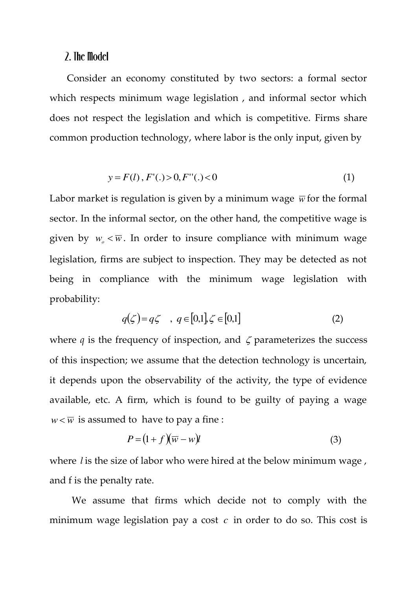# 2. The Model

 Consider an economy constituted by two sectors: a formal sector which respects minimum wage legislation , and informal sector which does not respect the legislation and which is competitive. Firms share common production technology, where labor is the only input, given by

$$
y = F(l), F'(.) > 0, F''(.) < 0
$$
 (1)

Labor market is regulation is given by a minimum wage  $\overline{w}$  for the formal sector. In the informal sector, on the other hand, the competitive wage is given by  $w_{\rho} < \overline{w}$ . In order to insure compliance with minimum wage legislation, firms are subject to inspection. They may be detected as not being in compliance with the minimum wage legislation with probability:

$$
q(\zeta) = q\zeta \quad , \ q \in [0,1], \zeta \in [0,1] \tag{2}
$$

where  $q$  is the frequency of inspection, and  $\zeta$  parameterizes the success of this inspection; we assume that the detection technology is uncertain, it depends upon the observability of the activity, the type of evidence available, etc. A firm, which is found to be guilty of paying a wage  $w < \overline{w}$  is assumed to have to pay a fine :

$$
P = (1 + f)(\overline{w} - w)\mathbf{l} \tag{3}
$$

where *l* is the size of labor who were hired at the below minimum wage , and f is the penalty rate.

 We assume that firms which decide not to comply with the minimum wage legislation pay a cost *c* in order to do so. This cost is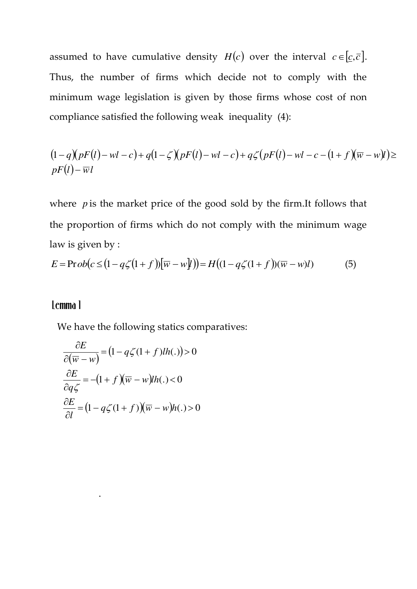assumed to have cumulative density  $H(c)$  over the interval  $c \in [c, \bar{c}]$ . Thus, the number of firms which decide not to comply with the minimum wage legislation is given by those firms whose cost of non compliance satisfied the following weak inequality (4):

$$
(1-q)(pF(l)-wl-c)+q(1-\zeta)(pF(l)-wl-c)+q\zeta(pF(l)-wl-c-(1+f)(\overline{w}-wl))\geq pF(l)-\overline{wl}
$$

where *p* is the market price of the good sold by the firm.It follows that the proportion of firms which do not comply with the minimum wage law is given by :

$$
E = \text{Prob}(c \leq (1 - q\zeta(1 + f))[\overline{w} - w\overline{y}]) = H((1 - q\zeta(1 + f))(\overline{w} - w)\overline{y})
$$
(5)

# Lemma 1

.

We have the following statics comparatives:

$$
\frac{\partial E}{\partial (\overline{w} - w)} = (1 - q\zeta(1 + f)lh(.)) > 0
$$

$$
\frac{\partial E}{\partial q\zeta} = -(1 + f)(\overline{w} - w)lh(.) < 0
$$

$$
\frac{\partial E}{\partial l} = (1 - q\zeta(1 + f))(\overline{w} - w)h(.) > 0
$$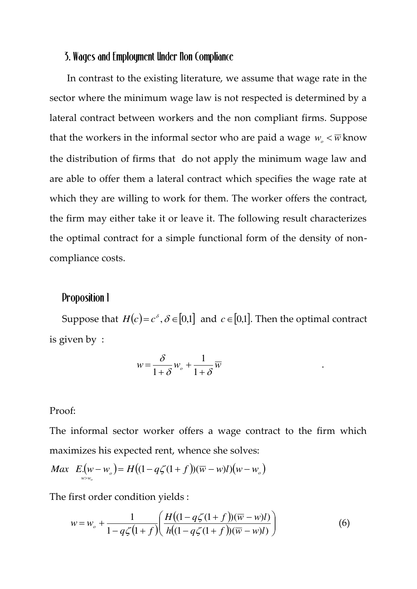### 3. Wages and Employment Under Non Compliance

 In contrast to the existing literature, we assume that wage rate in the sector where the minimum wage law is not respected is determined by a lateral contract between workers and the non compliant firms. Suppose that the workers in the informal sector who are paid a wage  $w_0 < \overline{w}$  know the distribution of firms that do not apply the minimum wage law and are able to offer them a lateral contract which specifies the wage rate at which they are willing to work for them. The worker offers the contract, the firm may either take it or leave it. The following result characterizes the optimal contract for a simple functional form of the density of noncompliance costs.

# Proposition 1

Suppose that  $H(c) = c^{\delta}, \delta \in [0,1]$  and  $c \in [0,1]$ . Then the optimal contract is given by :

.

$$
w = \frac{\delta}{1+\delta}w_o + \frac{1}{1+\delta}\overline{w}
$$

#### Proof:

The informal sector worker offers a wage contract to the firm which maximizes his expected rent, whence she solves:

$$
Max E.(w-wo) = H((1-q\zeta(1+f))(\overline{w}-w)l)(w-wo)
$$

The first order condition yields :

$$
w = w_o + \frac{1}{1 - q\zeta(1+f)} \left( \frac{H((1 - q\zeta(1+f))(\overline{w} - w)l)}{h((1 - q\zeta(1+f))(\overline{w} - w)l)} \right)
$$
(6)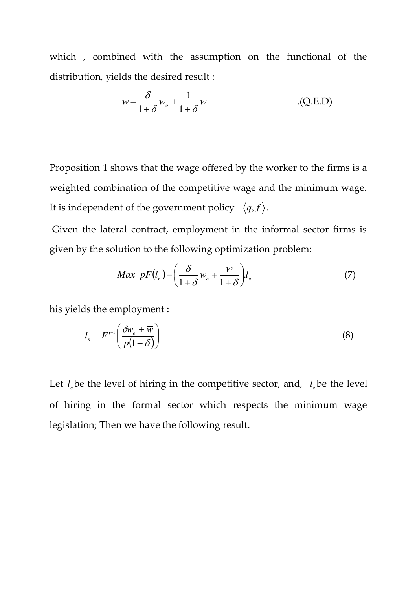which , combined with the assumption on the functional of the distribution, yields the desired result :

$$
w = \frac{\delta}{1+\delta}w_o + \frac{1}{1+\delta}\overline{w}
$$
 (Q.E.D)

Proposition 1 shows that the wage offered by the worker to the firms is a weighted combination of the competitive wage and the minimum wage. It is independent of the government policy  $\langle q, f \rangle$ .

 Given the lateral contract, employment in the informal sector firms is given by the solution to the following optimization problem:

$$
Max\;\;pF(l_n) - \left(\frac{\delta}{1+\delta}w_o + \frac{\overline{w}}{1+\delta}\right)l_n\tag{7}
$$

his yields the employment :

$$
l_n = F^{-1} \left( \frac{\delta w_o + \overline{w}}{p(1+\delta)} \right) \tag{8}
$$

Let  $l_e$  be the level of hiring in the competitive sector, and,  $l_e$  be the level of hiring in the formal sector which respects the minimum wage legislation; Then we have the following result.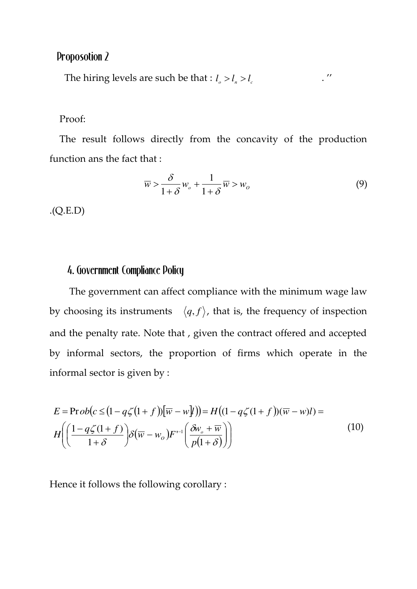# Proposotion 2

The hiring levels are such be that :  $l_o > l_n > l_c$  .''

#### Proof:

 The result follows directly from the concavity of the production function ans the fact that :

$$
\overline{w} > \frac{\delta}{1+\delta}w_o + \frac{1}{1+\delta}\overline{w} > w_o \tag{9}
$$

.(Q.E.D)

# 4. Government Compliance Policy

 The government can affect compliance with the minimum wage law by choosing its instruments  $\langle q, f \rangle$ , that is, the frequency of inspection and the penalty rate. Note that , given the contract offered and accepted by informal sectors, the proportion of firms which operate in the informal sector is given by :

$$
E = \text{Prob}(c \leq (1 - q\zeta(1 + f))[\overline{w} - w\overline{y}]) = H((1 - q\zeta(1 + f))(\overline{w} - w\overline{y})) =
$$
  

$$
H\left(\left(\frac{1 - q\zeta(1 + f)}{1 + \delta}\right)\delta(\overline{w} - w_o)F^{-1}\left(\frac{\delta w_o + \overline{w}}{p(1 + \delta)}\right)\right)
$$
(10)

Hence it follows the following corollary :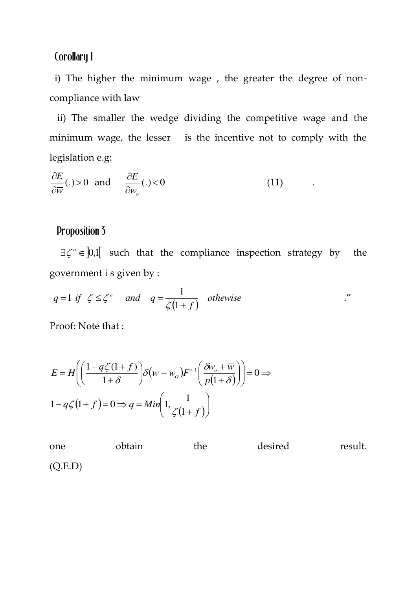# Corollary 1

 i) The higher the minimum wage , the greater the degree of noncompliance with law

 ii) The smaller the wedge dividing the competitive wage and the minimum wage, the lesser is the incentive not to comply with the legislation e.g:

$$
\frac{\partial E}{\partial \overline{w}}(.)>0 \text{ and } \frac{\partial E}{\partial w_o}(.)<0
$$
 (11)

# Proposition 3

 $\exists \zeta^{\circ} \in [0,1]$  such that the compliance inspection strategy by the government i s given by :

$$
q=1
$$
 if  $\zeta \leq \zeta^{\circ}$  and  $q=\frac{1}{\zeta(1+f)}$  otherwise

Proof: Note that :

$$
E = H\left(\left(\frac{1 - q\zeta(1+f)}{1+\delta}\right)\delta\left(\overline{w} - w_o\right)F^{-1}\left(\frac{\delta w_o + \overline{w}}{p(1+\delta)}\right)\right) = 0 \implies
$$
  

$$
1 - q\zeta(1+f) = 0 \implies q = Min\left(1, \frac{1}{\zeta(1+f)}\right)
$$

one obtain the desired result. (Q.E.D)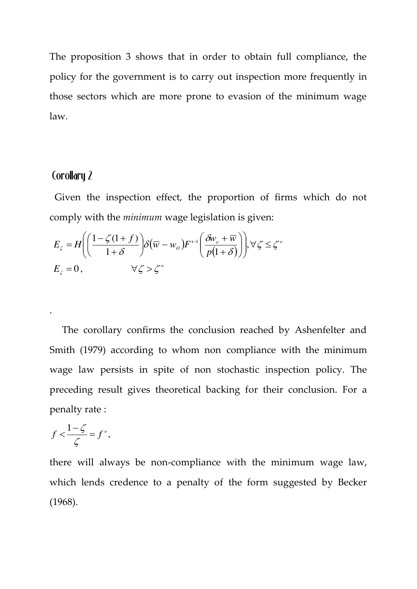The proposition 3 shows that in order to obtain full compliance, the policy for the government is to carry out inspection more frequently in those sectors which are more prone to evasion of the minimum wage law.

# Corollary 2

.

 Given the inspection effect, the proportion of firms which do not comply with the *minimum* wage legislation is given:

$$
E_{\zeta} = H \left( \left( \frac{1 - \zeta(1+f)}{1+\delta} \right) \delta \left( \overline{w} - w_o \right) F^{-1} \left( \frac{\delta w_o + \overline{w}}{p(1+\delta)} \right) \right), \forall \zeta \le \zeta^{\circ}
$$
  

$$
E_{\zeta} = 0, \qquad \forall \zeta > \zeta^{\circ}
$$

 The corollary confirms the conclusion reached by Ashenfelter and Smith (1979) according to whom non compliance with the minimum wage law persists in spite of non stochastic inspection policy. The preceding result gives theoretical backing for their conclusion. For a penalty rate :

$$
f < \frac{1-\zeta}{\zeta} = f^{\circ},
$$

there will always be non-compliance with the minimum wage law, which lends credence to a penalty of the form suggested by Becker (1968).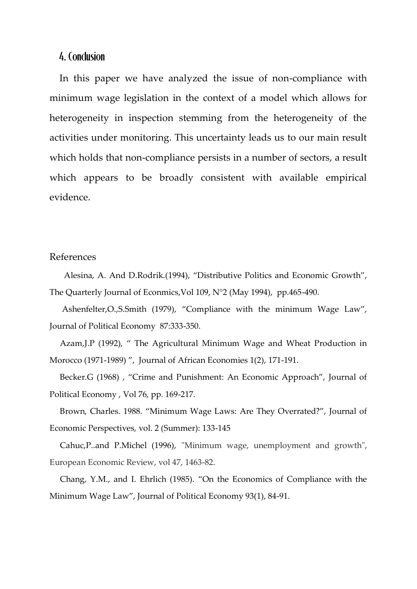## 4. Conclusion

 In this paper we have analyzed the issue of non-compliance with minimum wage legislation in the context of a model which allows for heterogeneity in inspection stemming from the heterogeneity of the activities under monitoring. This uncertainty leads us to our main result which holds that non-compliance persists in a number of sectors, a result which appears to be broadly consistent with available empirical evidence.

#### References

 Alesina, A. And D.Rodrik.(1994), "Distributive Politics and Economic Growth", The Quarterly Journal of Econmics,Vol 109, N°2 (May 1994), pp.465-490.

 Ashenfelter,O.,S.Smith (1979), "Compliance with the minimum Wage Law", Journal of Political Economy 87:333-350.

 Azam,J.P (1992), " The Agricultural Minimum Wage and Wheat Production in Morocco (1971-1989) ", Journal of African Economies 1(2), 171-191.

 Becker.G (1968) , "Crime and Punishment: An Economic Approach", Journal of Political Economy , Vol 76, pp. 169-217.

 Brown, Charles. 1988. "Minimum Wage Laws: Are They Overrated?", Journal of Economic Perspectives, vol. 2 (Summer): 133-145

 Cahuc,P..and P.Michel (1996), "Minimum wage, unemployment and growth", European Economic Review, vol 47, 1463-82.

 Chang, Y.M., and I. Ehrlich (1985). "On the Economics of Compliance with the Minimum Wage Law", Journal of Political Economy 93(1), 84-91.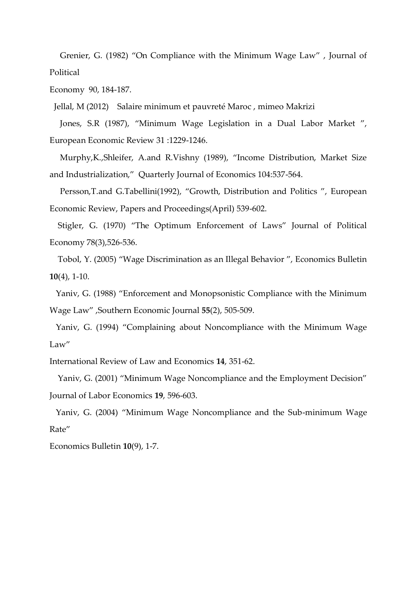Grenier, G. (1982) "On Compliance with the Minimum Wage Law" , Journal of Political

Economy 90, 184-187.

Jellal, M (2012) Salaire minimum et pauvreté Maroc , mimeo Makrizi

 Jones, S.R (1987), "Minimum Wage Legislation in a Dual Labor Market ", European Economic Review 31 :1229-1246.

 Murphy,K.,Shleifer, A.and R.Vishny (1989), "Income Distribution, Market Size and Industrialization," Quarterly Journal of Economics 104:537-564.

 Persson,T.and G.Tabellini(1992), "Growth, Distribution and Politics ", European Economic Review, Papers and Proceedings(April) 539-602.

 Stigler, G. (1970) "The Optimum Enforcement of Laws" Journal of Political Economy 78(3),526-536.

 Tobol, Y. (2005) "Wage Discrimination as an Illegal Behavior ", Economics Bulletin **10**(4), 1-10.

 Yaniv, G. (1988) "Enforcement and Monopsonistic Compliance with the Minimum Wage Law" ,Southern Economic Journal **55**(2), 505-509.

 Yaniv, G. (1994) "Complaining about Noncompliance with the Minimum Wage Law"

International Review of Law and Economics **14**, 351-62.

 Yaniv, G. (2001) "Minimum Wage Noncompliance and the Employment Decision" Journal of Labor Economics **19**, 596-603.

 Yaniv, G. (2004) "Minimum Wage Noncompliance and the Sub-minimum Wage Rate"

Economics Bulletin **10**(9), 1-7.